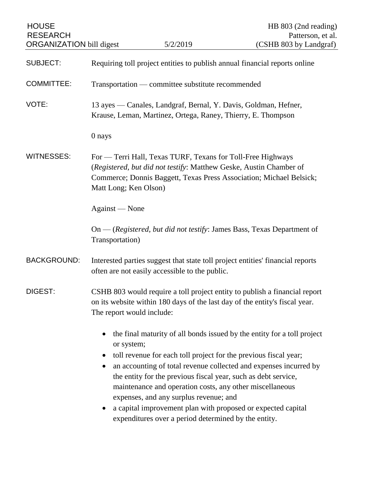| <b>HOUSE</b><br><b>RESEARCH</b><br><b>ORGANIZATION</b> bill digest |                                                                                                                                                                                                                                   | 5/2/2019                                                                                                                                                                                                                                                                                                                                                         | HB 803 (2nd reading)<br>Patterson, et al.<br>(CSHB 803 by Landgraf)                                                                          |
|--------------------------------------------------------------------|-----------------------------------------------------------------------------------------------------------------------------------------------------------------------------------------------------------------------------------|------------------------------------------------------------------------------------------------------------------------------------------------------------------------------------------------------------------------------------------------------------------------------------------------------------------------------------------------------------------|----------------------------------------------------------------------------------------------------------------------------------------------|
| <b>SUBJECT:</b>                                                    | Requiring toll project entities to publish annual financial reports online                                                                                                                                                        |                                                                                                                                                                                                                                                                                                                                                                  |                                                                                                                                              |
| <b>COMMITTEE:</b>                                                  | Transportation — committee substitute recommended                                                                                                                                                                                 |                                                                                                                                                                                                                                                                                                                                                                  |                                                                                                                                              |
| VOTE:                                                              | 13 ayes — Canales, Landgraf, Bernal, Y. Davis, Goldman, Hefner,<br>Krause, Leman, Martinez, Ortega, Raney, Thierry, E. Thompson                                                                                                   |                                                                                                                                                                                                                                                                                                                                                                  |                                                                                                                                              |
|                                                                    | 0 nays                                                                                                                                                                                                                            |                                                                                                                                                                                                                                                                                                                                                                  |                                                                                                                                              |
| <b>WITNESSES:</b>                                                  | For - Terri Hall, Texas TURF, Texans for Toll-Free Highways<br>(Registered, but did not testify: Matthew Geske, Austin Chamber of<br>Commerce; Donnis Baggett, Texas Press Association; Michael Belsick;<br>Matt Long; Ken Olson) |                                                                                                                                                                                                                                                                                                                                                                  |                                                                                                                                              |
|                                                                    | Against — None                                                                                                                                                                                                                    |                                                                                                                                                                                                                                                                                                                                                                  |                                                                                                                                              |
|                                                                    | Transportation)                                                                                                                                                                                                                   |                                                                                                                                                                                                                                                                                                                                                                  | On — (Registered, but did not testify: James Bass, Texas Department of                                                                       |
| <b>BACKGROUND:</b>                                                 | Interested parties suggest that state toll project entities' financial reports<br>often are not easily accessible to the public.                                                                                                  |                                                                                                                                                                                                                                                                                                                                                                  |                                                                                                                                              |
| DIGEST:                                                            | CSHB 803 would require a toll project entity to publish a financial report<br>on its website within 180 days of the last day of the entity's fiscal year.<br>The report would include:                                            |                                                                                                                                                                                                                                                                                                                                                                  |                                                                                                                                              |
|                                                                    | or system;                                                                                                                                                                                                                        | toll revenue for each toll project for the previous fiscal year;<br>the entity for the previous fiscal year, such as debt service,<br>maintenance and operation costs, any other miscellaneous<br>expenses, and any surplus revenue; and<br>a capital improvement plan with proposed or expected capital<br>expenditures over a period determined by the entity. | the final maturity of all bonds issued by the entity for a toll project<br>an accounting of total revenue collected and expenses incurred by |